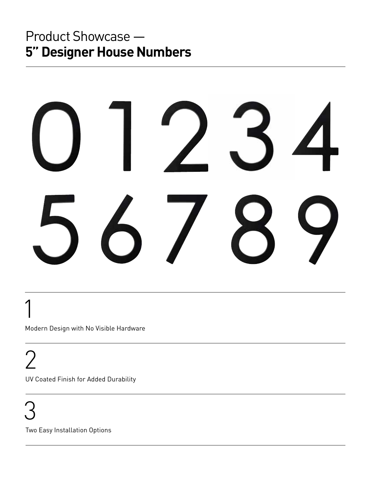## Product Showcase — **5" Designer House Numbers**

 1 Modern Design with No Visible Hardware

2

UV Coated Finish for Added Durability

 3 Two Easy Installation Options